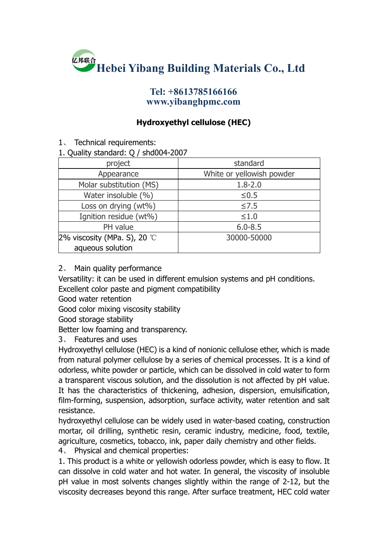

## **Tel: +8613785166166 www.yibanghpmc.com**

## **Hydroxyethyl cellulose (HEC)**

1、 Technical requirements:

## 1. Quality standard: Q / shd004-2007

| standard                  |
|---------------------------|
| White or yellowish powder |
| $1.8 - 2.0$               |
| $≤0.5$                    |
| $≤7.5$                    |
| $\leq 1.0$                |
| $6.0 - 8.5$               |
| 30000-50000               |
|                           |
|                           |

## 2、 Main quality performance

Versatility: it can be used in different emulsion systems and pH conditions. Excellent color paste and pigment compatibility

Good water retention

Good color mixing viscosity stability

Good storage stability

Better low foaming and transparency.

3、 Features and uses

Hydroxyethyl cellulose (HEC) is a kind of nonionic cellulose ether, which is made from natural polymer cellulose by a series of chemical processes. It is a kind of odorless, white powder or particle, which can be dissolved in cold water to form a transparent viscous solution, and the dissolution is not affected by pH value. It has the characteristics of thickening, adhesion, dispersion, emulsification, film-forming, suspension, adsorption, surface activity, water retention and salt resistance.

hydroxyethyl cellulose can be widely used in water-based coating, construction mortar, oil drilling, synthetic resin, ceramic industry, medicine, food, textile, agriculture, cosmetics, tobacco, ink, paper daily chemistry and other fields.

4、 Physical and chemical properties:

1. This product is a white or yellowish odorless powder, which is easy to flow. It can dissolve in cold water and hot water.In general, the viscosity of insoluble pH value in most solvents changes slightly within the range of 2-12, but the viscosity decreases beyond this range. After surface treatment, HEC cold water